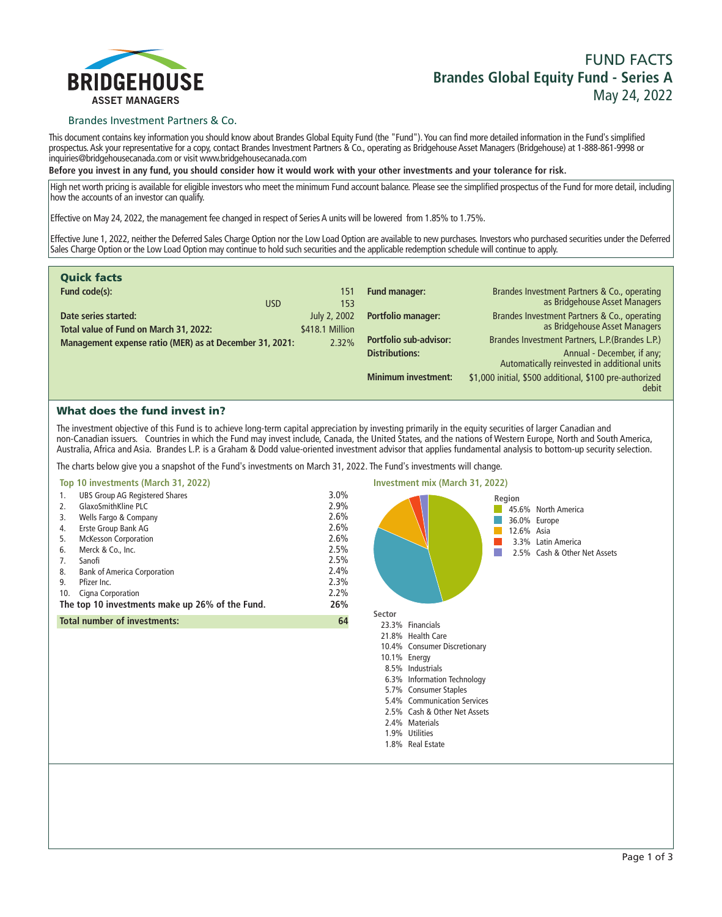

## **FUND FACTS Brandes Global Equity Fund - Series A May 24, 2022**

## Brandes Investment Partners & Co.

**This document contains key information you should know about Brandes Global Equity Fund (the "Fund"). You can find more detailed information in the Fund's simplified prospectus. Ask your representative for a copy, contact Brandes Investment Partners & Co., operating as Bridgehouse Asset Managers (Bridgehouse) at 1-888-861-9998 or inquiries@bridgehousecanada.com or visit www.bridgehousecanada.com**

**Before you invest in any fund, you should consider how it would work with your other investments and your tolerance for risk.**

**High net worth pricing is available for eligible investors who meet the minimum Fund account balance. Please see the simplified prospectus of the Fund for more detail, including how the accounts of an investor can qualify.**

**Effective on May 24, 2022, the management fee changed in respect of Series A units will be lowered from 1.85% to 1.75%.**

**Effective June 1, 2022, neither the Deferred Sales Charge Option nor the Low Load Option are available to new purchases. Investors who purchased securities under the Deferred Sales Charge Option or the Low Load Option may continue to hold such securities and the applicable redemption schedule will continue to apply.**

| <b>Quick facts</b>                                      |                 |                               |                                                                            |
|---------------------------------------------------------|-----------------|-------------------------------|----------------------------------------------------------------------------|
| Fund code(s):                                           | 151             | Fund manager:                 | Brandes Investment Partners & Co., operating                               |
| <b>USD</b>                                              | 153             |                               | as Bridgehouse Asset Managers                                              |
| Date series started:                                    | July 2, 2002    | <b>Portfolio manager:</b>     | Brandes Investment Partners & Co., operating                               |
| Total value of Fund on March 31, 2022:                  | \$418.1 Million |                               | as Bridgehouse Asset Managers                                              |
| Management expense ratio (MER) as at December 31, 2021: | 2.32%           | <b>Portfolio sub-advisor:</b> | Brandes Investment Partners, L.P. (Brandes L.P.)                           |
|                                                         |                 | <b>Distributions:</b>         | Annual - December, if any;<br>Automatically reinvested in additional units |
|                                                         |                 |                               |                                                                            |
|                                                         |                 | <b>Minimum investment:</b>    | \$1,000 initial, \$500 additional, \$100 pre-authorized<br>debit           |

## What does the fund invest in?

**The investment objective of this Fund is to achieve long-term capital appreciation by investing primarily in the equity securities of larger Canadian and non-Canadian issuers. Countries in which the Fund may invest include, Canada, the United States, and the nations of Western Europe, North and South America, Australia, Africa and Asia. Brandes L.P. is a Graham & Dodd value-oriented investment advisor that applies fundamental analysis to bottom-up security selection.**

**The charts below give you a snapshot of the Fund's investments on March 31, 2022. The Fund's investments will change.**



**2.4% Materials 1.9% Utilities 1.8% Real Estate**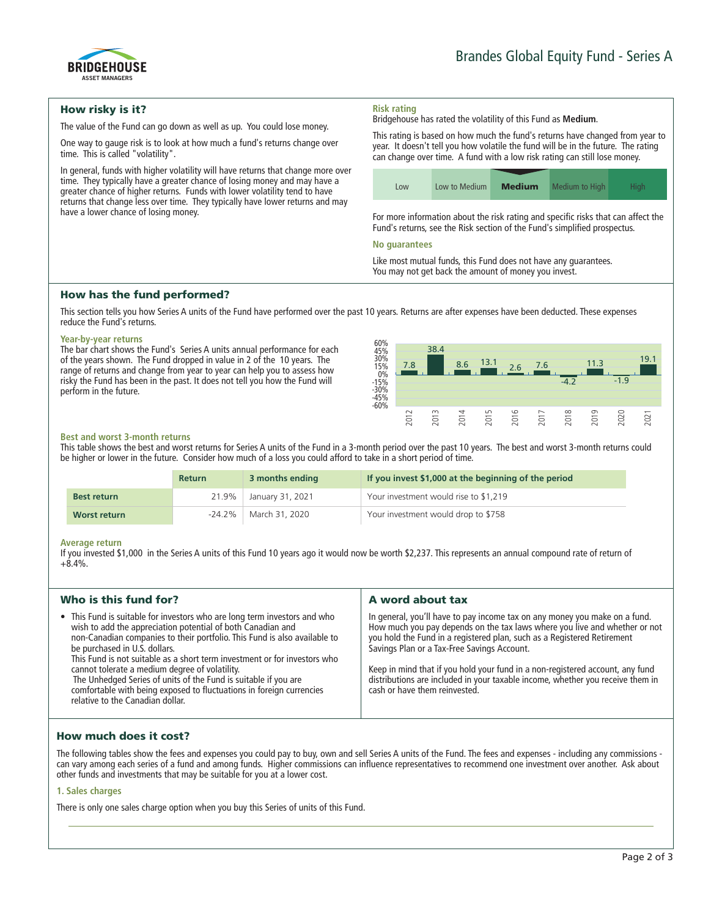

## How risky is it?

**The value of the Fund can go down as well as up. You could lose money.**

**One way to gauge risk is to look at how much a fund's returns change over time. This is called "volatility".**

**In general, funds with higher volatility will have returns that change more over time. They typically have a greater chance of losing money and may have a greater chance of higher returns. Funds with lower volatility tend to have returns that change less over time. They typically have lower returns and may have a lower chance of losing money.**

# **Risk rating**

**Bridgehouse has rated the volatility of this Fund as Medium.**

**This rating is based on how much the fund's returns have changed from year to year. It doesn't tell you how volatile the fund will be in the future. The rating can change over time. A fund with a low risk rating can still lose money.**

| LOW | Low to Medium | <b>Medium</b> | Medium to High | Hiah |
|-----|---------------|---------------|----------------|------|

**For more information about the risk rating and specific risks that can affect the Fund's returns, see the Risk section of the Fund's simplified prospectus.**

#### **No guarantees**

**Like most mutual funds, this Fund does not have any guarantees. You may not get back the amount of money you invest.**

## How has the fund performed?

**This section tells you how Series A units of the Fund have performed over the past 10 years. Returns are after expenses have been deducted. These expenses reduce the Fund's returns.**

#### **Year-by-year returns**

**The bar chart shows the Fund's Series A units annual performance for each of the years shown. The Fund dropped in value in 2 of the 10 years. The range of returns and change from year to year can help you to assess how risky the Fund has been in the past. It does not tell you how the Fund will perform in the future.**



#### **Best and worst 3-month returns**

**This table shows the best and worst returns for Series A units of the Fund in a 3-month period over the past 10 years. The best and worst 3-month returns could be higher or lower in the future. Consider how much of a loss you could afford to take in a short period of time.**

|                    | <b>Return</b> | 3 months ending         | If you invest \$1,000 at the beginning of the period |
|--------------------|---------------|-------------------------|------------------------------------------------------|
| <b>Best return</b> |               | 21.9% January 31, 2021  | Your investment would rise to \$1,219                |
| Worst return       |               | -24.2%   March 31, 2020 | Your investment would drop to \$758                  |

#### **Average return**

**If you invested \$1,000 in the Series A units of this Fund 10 years ago it would now be worth \$2,237. This represents an annual compound rate of return of +8.4%.**

| Who is this fund for?                                                                                                                                                                                                                                                                                                                                                                                                                                                                                                                                                | A word about tax                                                                                                                                                                                                                                                                                                                                                                                                                                                                       |
|----------------------------------------------------------------------------------------------------------------------------------------------------------------------------------------------------------------------------------------------------------------------------------------------------------------------------------------------------------------------------------------------------------------------------------------------------------------------------------------------------------------------------------------------------------------------|----------------------------------------------------------------------------------------------------------------------------------------------------------------------------------------------------------------------------------------------------------------------------------------------------------------------------------------------------------------------------------------------------------------------------------------------------------------------------------------|
| • This Fund is suitable for investors who are long term investors and who<br>wish to add the appreciation potential of both Canadian and<br>non-Canadian companies to their portfolio. This Fund is also available to<br>be purchased in U.S. dollars.<br>This Fund is not suitable as a short term investment or for investors who<br>cannot tolerate a medium degree of volatility.<br>The Unhedged Series of units of the Fund is suitable if you are<br>comfortable with being exposed to fluctuations in foreign currencies<br>relative to the Canadian dollar. | In general, you'll have to pay income tax on any money you make on a fund.<br>How much you pay depends on the tax laws where you live and whether or not<br>you hold the Fund in a registered plan, such as a Registered Retirement<br>Savings Plan or a Tax-Free Savings Account.<br>Keep in mind that if you hold your fund in a non-registered account, any fund<br>distributions are included in your taxable income, whether you receive them in<br>cash or have them reinvested. |

## How much does it cost?

**The following tables show the fees and expenses you could pay to buy, own and sell Series A units of the Fund. The fees and expenses - including any commissions can vary among each series of a fund and among funds. Higher commissions can influence representatives to recommend one investment over another. Ask about other funds and investments that may be suitable for you at a lower cost.**

#### **1. Sales charges**

**There is only one sales charge option when you buy this Series of units of this Fund.**